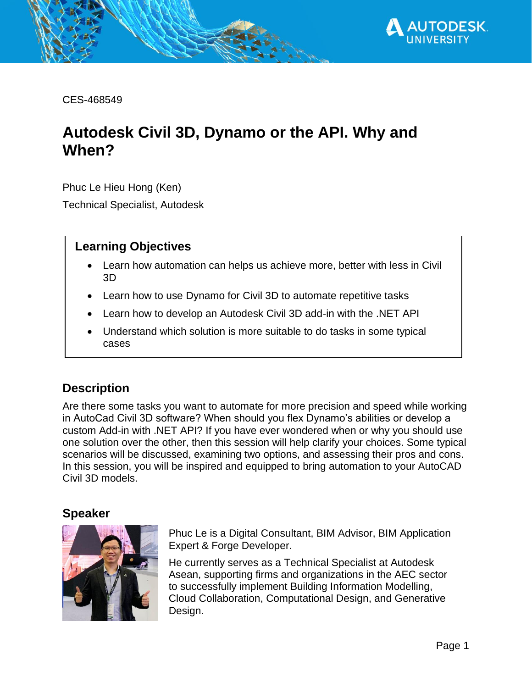

CES-468549

# <span id="page-0-0"></span>**Autodesk Civil 3D, Dynamo or the API. Why and When?**

Phuc Le Hieu Hong (Ken)

Technical Specialist, Autodesk

### **Learning Objectives**

- Learn how automation can helps us achieve more, better with less in Civil 3D
- Learn how to use Dynamo for Civil 3D to automate repetitive tasks
- Learn how to develop an Autodesk Civil 3D add-in with the .NET API
- Understand which solution is more suitable to do tasks in some typical cases

# <span id="page-0-1"></span>**Description**

Are there some tasks you want to automate for more precision and speed while working in AutoCad Civil 3D software? When should you flex Dynamo's abilities or develop a custom Add-in with .NET API? If you have ever wondered when or why you should use one solution over the other, then this session will help clarify your choices. Some typical scenarios will be discussed, examining two options, and assessing their pros and cons. In this session, you will be inspired and equipped to bring automation to your AutoCAD Civil 3D models.

#### <span id="page-0-2"></span>**Speaker**



Phuc Le is a Digital Consultant, BIM Advisor, BIM Application Expert & Forge Developer.

He currently serves as a Technical Specialist at Autodesk Asean, supporting firms and organizations in the AEC sector to successfully implement Building Information Modelling, Cloud Collaboration, Computational Design, and Generative Design.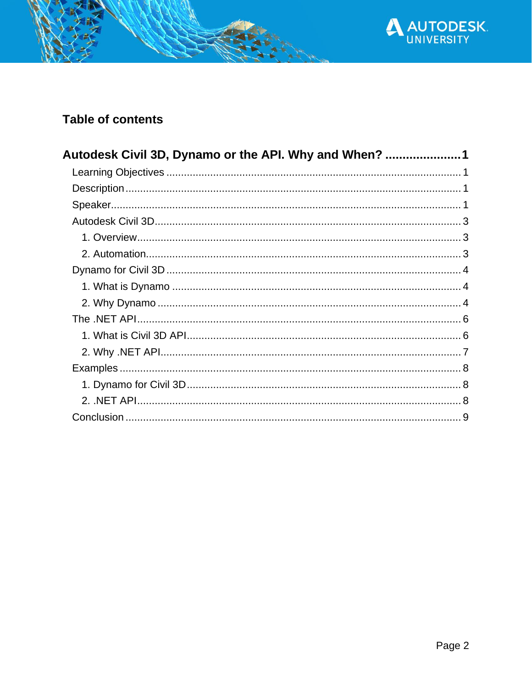

# **Table of contents**

| Autodesk Civil 3D, Dynamo or the API. Why and When? |  |
|-----------------------------------------------------|--|
|                                                     |  |
|                                                     |  |
|                                                     |  |
|                                                     |  |
|                                                     |  |
|                                                     |  |
|                                                     |  |
|                                                     |  |
|                                                     |  |
|                                                     |  |
|                                                     |  |
|                                                     |  |
|                                                     |  |
|                                                     |  |
|                                                     |  |
|                                                     |  |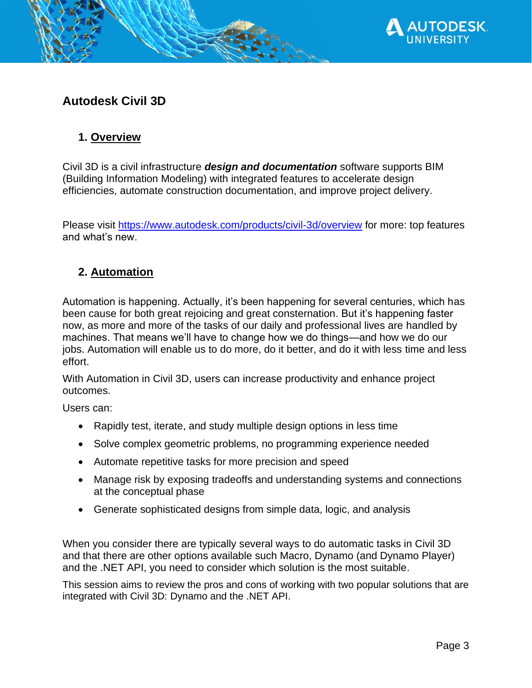

# <span id="page-2-0"></span>**Autodesk Civil 3D**

# <span id="page-2-1"></span>**1. Overview**

Civil 3D is a civil infrastructure *design and documentation* software supports BIM (Building Information Modeling) with integrated features to accelerate design efficiencies, automate construction documentation, and improve project delivery.

Please visit<https://www.autodesk.com/products/civil-3d/overview> for more: top features and what's new.

# <span id="page-2-2"></span>**2. Automation**

Automation is happening. Actually, it's been happening for several centuries, which has been cause for both [great rejoicing and great consternation.](https://hbr.org/2018/01/how-automation-will-change-work-purpose-and-meaning) But it's happening faster now, as more and more of the tasks of our daily and professional lives are handled by machines. That means we'll have to change how we do things—and how we do our jobs. Automation will enable us to do more, do it better, and do it with less time and less effort.

With Automation in Civil 3D, users can increase productivity and enhance project outcomes.

Users can:

- Rapidly test, iterate, and study multiple design options in less time
- Solve complex geometric problems, no programming experience needed
- Automate repetitive tasks for more precision and speed
- Manage risk by exposing tradeoffs and understanding systems and connections at the conceptual phase
- Generate sophisticated designs from simple data, logic, and analysis

When you consider there are typically several ways to do automatic tasks in Civil 3D and that there are other options available such Macro, Dynamo (and Dynamo Player) and the .NET API, you need to consider which solution is the most suitable.

This session aims to review the pros and cons of working with two popular solutions that are integrated with Civil 3D: Dynamo and the .NET API.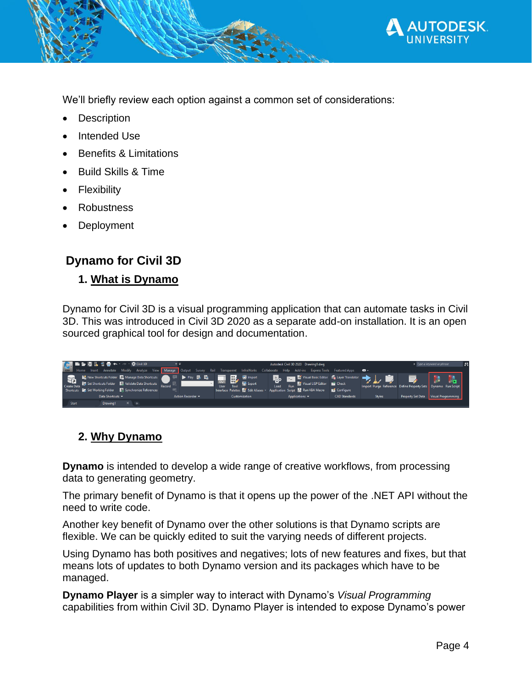

We'll briefly review each option against a common set of considerations:

- **Description**
- Intended Use
- Benefits & Limitations
- Build Skills & Time
- **Flexibility**
- Robustness
- **Deployment**

### <span id="page-3-0"></span>**Dynamo for Civil 3D**

#### <span id="page-3-1"></span>**1. What is Dynamo**

Dynamo for Civil 3D is a visual programming application that can automate tasks in Civil 3D. This was introduced in Civil 3D 2020 as a separate add-on installation. It is an open sourced graphical tool for design and documentation.

|              |  | 【● ■● ■ ■ ■ ■ ← · → · ※ Civil 3D |                                                                                                                                                                                                                                                                              | ≂ ≂ |                        |  |                                                                                                                                   |                                     | Autodesk Civil 3D 2020 Drawing1.dwg |                |                             |                                                                                                                                                                  |               |                                                                                | ▶ Type a keyword or phrase | Jθ |
|--------------|--|----------------------------------|------------------------------------------------------------------------------------------------------------------------------------------------------------------------------------------------------------------------------------------------------------------------------|-----|------------------------|--|-----------------------------------------------------------------------------------------------------------------------------------|-------------------------------------|-------------------------------------|----------------|-----------------------------|------------------------------------------------------------------------------------------------------------------------------------------------------------------|---------------|--------------------------------------------------------------------------------|----------------------------|----|
|              |  |                                  |                                                                                                                                                                                                                                                                              |     |                        |  |                                                                                                                                   |                                     |                                     |                |                             | Leto Home Insert Annotate Modify Analyze View Manage Output Survey Rail Transparent InfraWorks Collaborate Help Add-ins ExpressTools Featured Apps <sup>89</sup> |               |                                                                                |                            |    |
|              |  |                                  | ■ New Shortcuts Folder ■ Manage Data Shortcuts ● ■ ▶ Play 图 ■<br>the New Shortcuts Folder <b>R</b> Manage Data Shortcuts<br>Create Data <b>B</b> Set Shortcuts Folder <b>R</b> , Validate Data Shortcuts<br>Shortcuts <b>By Set Working Folder By Synchronize References</b> |     |                        |  | l ad<br><b>CUI</b><br>Tool<br>User<br>Interface Palettes <b>C</b> Edit Aliases <b>v</b> Application Script <b>R</b> Run VBA Macro | <b>M</b> Import<br><b>Is Export</b> | <b>Load</b>                         |                | Visual LISP Editor Pu Check | ■ 驗 Visual Basic Editor ■ Layer Translator ■              <br><b>ES</b> Configure                                                                                |               | $\Rightarrow$<br>Import Purge Reference Define Property Sets Dynamo Run Script |                            |    |
|              |  | Data Shortcuts =                 |                                                                                                                                                                                                                                                                              |     | Action Recorder $\sim$ |  |                                                                                                                                   | Customization                       |                                     | Applications - |                             | <b>CAD Standards</b>                                                                                                                                             | <b>Styles</b> | Property Set Data Visual Programming                                           |                            |    |
| <b>Start</b> |  | Drawing1                         | $x +$                                                                                                                                                                                                                                                                        |     |                        |  |                                                                                                                                   |                                     |                                     |                |                             |                                                                                                                                                                  |               |                                                                                |                            |    |

### <span id="page-3-2"></span>**2. Why Dynamo**

**Dynamo** is intended to develop a wide range of creative workflows, from processing data to generating geometry.

The primary benefit of Dynamo is that it opens up the power of the .NET API without the need to write code.

Another key benefit of Dynamo over the other solutions is that Dynamo scripts are flexible. We can be quickly edited to suit the varying needs of different projects.

Using Dynamo has both positives and negatives; lots of new features and fixes, but that means lots of updates to both Dynamo version and its packages which have to be managed.

**Dynamo Player** is a simpler way to interact with Dynamo's *Visual Programming*  capabilities from within Civil 3D. Dynamo Player is intended to expose Dynamo's power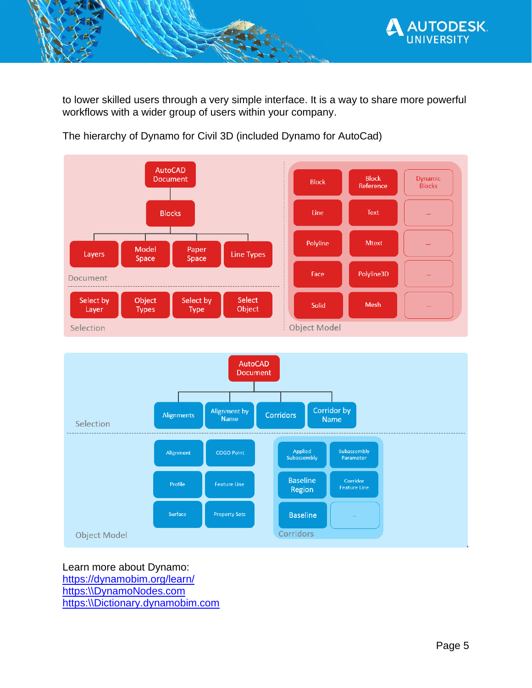

to lower skilled users through a very simple interface. It is a way to share more powerful workflows with a wider group of users within your company.



The hierarchy of Dynamo for Civil 3D (included Dynamo for AutoCad)



Learn more about Dynamo: <https://dynamobim.org/learn/> https:\\DynamoNodes.com https:\\Dictionary.dynamobim.com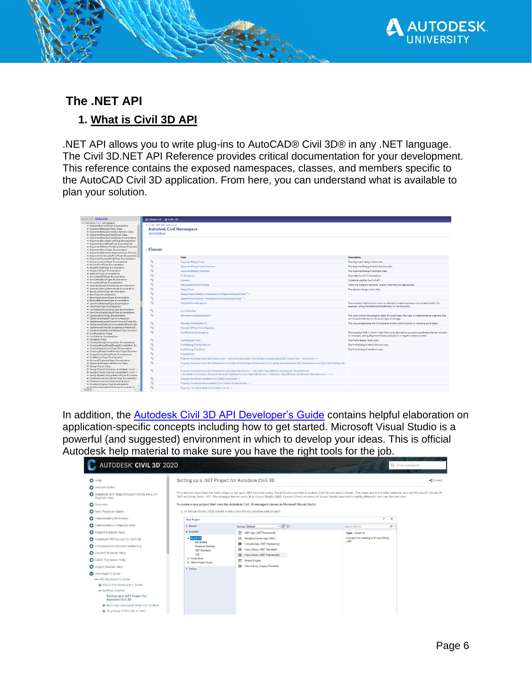

#### <span id="page-5-0"></span>**The .NET API**

### <span id="page-5-1"></span>**1. What is Civil 3D API**

.NET API allows you to write plug-ins to AutoCAD® Civil 3D® in any .NET language. The Civil 3D.NET API Reference provides critical documentation for your development. This reference contains the exposed namespaces, classes, and members specific to the AutoCAD Civil 3D application. From here, you can understand what is available to plan your solution.

| C 3   A Direct Link                                                                                                                                                                                                                                                                  |                                 |                                                                                                                                                                                                                                                                                          |                                                                                                     |
|--------------------------------------------------------------------------------------------------------------------------------------------------------------------------------------------------------------------------------------------------------------------------------------|---------------------------------|------------------------------------------------------------------------------------------------------------------------------------------------------------------------------------------------------------------------------------------------------------------------------------------|-----------------------------------------------------------------------------------------------------|
| Autodesk.Civil Namespace                                                                                                                                                                                                                                                             | Collapse All D Code: All        |                                                                                                                                                                                                                                                                                          |                                                                                                     |
| AccelerationUnitType Enumeration                                                                                                                                                                                                                                                     | Civil 3D .NET API Reference     |                                                                                                                                                                                                                                                                                          |                                                                                                     |
| <b>El AlignmentDesignCheck Class</b>                                                                                                                                                                                                                                                 | <b>Autodesk.Civil Namespace</b> |                                                                                                                                                                                                                                                                                          |                                                                                                     |
| El AlignmentDesignCheckCollection Class                                                                                                                                                                                                                                              |                                 |                                                                                                                                                                                                                                                                                          |                                                                                                     |
| <b>El AlignmentDesignCheckRoot Class</b>                                                                                                                                                                                                                                             | Send Feedback                   |                                                                                                                                                                                                                                                                                          |                                                                                                     |
| · AlignmentDesignCheckType Enumeration                                                                                                                                                                                                                                               |                                 |                                                                                                                                                                                                                                                                                          |                                                                                                     |
| · AlignmentDividedPivotType Enumeration                                                                                                                                                                                                                                              |                                 |                                                                                                                                                                                                                                                                                          |                                                                                                     |
| AlignmentLockModeType Enumeration                                                                                                                                                                                                                                                    |                                 |                                                                                                                                                                                                                                                                                          |                                                                                                     |
| · AlignmentMedianTreatmentType Enumeral                                                                                                                                                                                                                                              |                                 |                                                                                                                                                                                                                                                                                          |                                                                                                     |
| - AlignmentPointType Enumeration                                                                                                                                                                                                                                                     | <b>E</b> Classes                |                                                                                                                                                                                                                                                                                          |                                                                                                     |
| · AlignmentTransitionSegmentType Enumer                                                                                                                                                                                                                                              |                                 |                                                                                                                                                                                                                                                                                          |                                                                                                     |
| · AlianmentUndividedPivotType Enumeratio                                                                                                                                                                                                                                             |                                 | Class                                                                                                                                                                                                                                                                                    | <b>Description</b>                                                                                  |
| · AlignmentUpdateModeTvpe Enumeration<br>· AnchorLocationType Enumeration                                                                                                                                                                                                            | $\mathbf{a}_2$                  |                                                                                                                                                                                                                                                                                          |                                                                                                     |
| - AnchorPointType Enumeration                                                                                                                                                                                                                                                        |                                 | AlignmentDesignCheck                                                                                                                                                                                                                                                                     | The Alignment design check class.                                                                   |
| · AngleFormatType Enumeration                                                                                                                                                                                                                                                        | 修                               | AlignmentDesignCheckCollection                                                                                                                                                                                                                                                           | The AlignmentDesignCheckCollection class.                                                           |
| AngleUnitType Enumeration                                                                                                                                                                                                                                                            | 他                               | AlignmentDesignCheckRoot                                                                                                                                                                                                                                                                 | The AlignmentDesignCheckRoot class.                                                                 |
| · AreaUnitType Enumeration                                                                                                                                                                                                                                                           |                                 |                                                                                                                                                                                                                                                                                          |                                                                                                     |
| ArrowHeadFitType Enumeration                                                                                                                                                                                                                                                         | $\sigma_{\rm S}$                | CivilException                                                                                                                                                                                                                                                                           | Base class for all Civil exceptions.                                                                |
| ArrowHeadSizeType Enumeration                                                                                                                                                                                                                                                        | 勉                               | Constant                                                                                                                                                                                                                                                                                 | Constants used by the Civil API.                                                                    |
| - ArrowHeadType Enumeration                                                                                                                                                                                                                                                          |                                 |                                                                                                                                                                                                                                                                                          |                                                                                                     |
| AssemblyDisplayStyleType Enumeration                                                                                                                                                                                                                                                 | $\sigma_{\rm S}$                | DeprecatedVersionAttribute                                                                                                                                                                                                                                                               | Marks the program elements' version when they are deprecated.                                       |
| · AssemblyGroupNameType Enumeration                                                                                                                                                                                                                                                  | $\sigma_{\rm S}$                | <b>DesignCheck</b>                                                                                                                                                                                                                                                                       | The abstract design check class.                                                                    |
| - BandLocationType Enumeration                                                                                                                                                                                                                                                       | 够                               | DesignCheckCollection <autodesk:civil:alignmentdesigncheck ^=""></autodesk:civil:alignmentdesigncheck>                                                                                                                                                                                   |                                                                                                     |
| · BandType Enumeration<br>· BearingOuadrantType Enumeration                                                                                                                                                                                                                          |                                 |                                                                                                                                                                                                                                                                                          |                                                                                                     |
| · BlockAttachmentType Enumeration                                                                                                                                                                                                                                                    | 龟                               | DesignCheckCollection <autodesk:civil:profiledesigncheck ^=""></autodesk:civil:profiledesigncheck>                                                                                                                                                                                       |                                                                                                     |
| · CantPivotMethodTvpe Enumeration                                                                                                                                                                                                                                                    | $\sigma_{\rm S}$                | <b>EntityNotFoundException</b>                                                                                                                                                                                                                                                           | The exception that's thrown when an attempt is made to access a non-existent entity. For            |
| · CantPointTvpe Enumeration                                                                                                                                                                                                                                                          |                                 |                                                                                                                                                                                                                                                                                          | example, calling ProfileEntity.EntityBeforeD on the first entity.                                   |
| CantStationRoundingType Enumeration                                                                                                                                                                                                                                                  | 继                               | <b>ErrorStatusText</b>                                                                                                                                                                                                                                                                   |                                                                                                     |
| · CantViewDisplayStyleType Enumeration                                                                                                                                                                                                                                               |                                 |                                                                                                                                                                                                                                                                                          |                                                                                                     |
| CapitalizationType Enumeration                                                                                                                                                                                                                                                       | 龟                               | GeometryPointLabelOption(T)                                                                                                                                                                                                                                                              | This class controls the selection state of a point type. The class is implemented as a generic that |
| CatchmentObjectType Enumeration                                                                                                                                                                                                                                                      |                                 |                                                                                                                                                                                                                                                                                          | can be parameterized on the point type to manage.                                                   |
| · CatchmentRainfallTravelTimeUnitType Enu                                                                                                                                                                                                                                            | 龟                               | GeometryPointSelector(T)                                                                                                                                                                                                                                                                 | This class encapsulates the functionality to allow selecting and un-selecting point types.          |
| · CatchmentShallowConcentratedFlowSurfa<br>· CatchmentTimeOfConcentrationMethodTv.                                                                                                                                                                                                   |                                 |                                                                                                                                                                                                                                                                                          |                                                                                                     |
| · CatchmentWatershedObiectTvpe Enumera                                                                                                                                                                                                                                               | $\sigma_{\rm S}$                | InternalC3DPipesToStmMigration                                                                                                                                                                                                                                                           |                                                                                                     |
| E CivilException Class                                                                                                                                                                                                                                                               | $\sigma_2$                      | PointNotOnEntityException                                                                                                                                                                                                                                                                | The exception that is thrown when there is an attempt to use point coordinates that do not exist.   |
| CivilVersion Enumeration                                                                                                                                                                                                                                                             |                                 |                                                                                                                                                                                                                                                                                          | For example, calling Alignment PointLocation() for a negative station number.                       |
| E Constant Class                                                                                                                                                                                                                                                                     | 辔                               | <b>ProfileDesignCheck</b>                                                                                                                                                                                                                                                                | The Profile design check class.                                                                     |
| · CorridorAlongCurveOption Enumeration                                                                                                                                                                                                                                               |                                 |                                                                                                                                                                                                                                                                                          |                                                                                                     |
| · CorridorAlongOffsetTargetCurveOption En                                                                                                                                                                                                                                            | $\sigma_{\rm S}$                | ProfileDesignCheckCollection                                                                                                                                                                                                                                                             | The ProfileDesignCheckCollection class.                                                             |
| CorridorRegionLockType Enumeration                                                                                                                                                                                                                                                   | $\sigma_{\rm S}$                | <b>ProfileDesignCheckRoot</b>                                                                                                                                                                                                                                                            | The ProfileDesignCheckRoot class.                                                                   |
| CrossingBreaklinesElevationType Enumera                                                                                                                                                                                                                                              | $\mathbf{e}_3$                  |                                                                                                                                                                                                                                                                                          |                                                                                                     |
| CrossSectionShapeType Enumeration                                                                                                                                                                                                                                                    |                                 | ProjectionUtil                                                                                                                                                                                                                                                                           |                                                                                                     |
| CurbReturnType Enumeration<br>· DecimalCharacterType Enumeration                                                                                                                                                                                                                     | $\sigma_{\rm S}$                | Property <autodesk:autocad:colors:color ^="" accmcolor="" autodesk:civil:castop<autodesk:autocad:colors:color=""></autodesk:autocad:colors:color>                                                                                                                                        |                                                                                                     |
| El DeprecatedVersionAttribute Class                                                                                                                                                                                                                                                  | $\theta_{\rm S}$                | Property <autodesk:autocad:databaseservices:objectid.acdbobjectid.autodesk:civil:castop<autodesk:autocad:databaseservices:objectid.acdbobjectid></autodesk:autocad:databaseservices:objectid.acdbobjectid.autodesk:civil:castop<autodesk:autocad:databaseservices:objectid.acdbobjectid> |                                                                                                     |
| <b>El DesignCheck Class</b>                                                                                                                                                                                                                                                          |                                 | s                                                                                                                                                                                                                                                                                        |                                                                                                     |
| El DesignCheckCollection <autodesk::civil:: <="" td=""><td></td><td></td><td></td></autodesk::civil::>                                                                                                                                                                               |                                 |                                                                                                                                                                                                                                                                                          |                                                                                                     |
| E DesignCheckCollection <autodesk::civil::i< td=""><td>他</td><td>Property<autodesk:autocad:databaseservices:objectidcollection ^.std:vector<aeccattribute.std:allocator<aeccattribute=""></autodesk:autocad:databaseservices:objectidcollection></td><td></td></autodesk::civil::i<> | 他                               | Property <autodesk:autocad:databaseservices:objectidcollection ^.std:vector<aeccattribute.std:allocator<aeccattribute=""></autodesk:autocad:databaseservices:objectidcollection>                                                                                                         |                                                                                                     |
| · DesignSpeedLookupMethodTvpe Enumera                                                                                                                                                                                                                                                |                                 | > Autodesk: Civil: CastOp <autodesk:: ^="" autocad::databaseservices:objectidcollection="" std:allocator<aeccattribute="" std:wector<aeccattribute="">&gt;&gt;&gt;&gt;</autodesk::>                                                                                                      |                                                                                                     |
| · DimensionAnchorOptionType Enumeration                                                                                                                                                                                                                                              | $\sigma_2$                      | Property <bool.bool.autodesk:civil:castop<bool.bool>&gt;</bool.bool.autodesk:civil:castop<bool.bool>                                                                                                                                                                                     |                                                                                                     |
| · DimensionAnchorType Enumeration                                                                                                                                                                                                                                                    | $\sigma_{\rm S}$                | Property <double.double.autodesic:civil:castop<double.double> &gt;</double.double.autodesic:civil:castop<double.double>                                                                                                                                                                  |                                                                                                     |
| · DirectionDisplayType Enumeration                                                                                                                                                                                                                                                   |                                 |                                                                                                                                                                                                                                                                                          |                                                                                                     |
| · DirectionNameDisplayType Fourneration                                                                                                                                                                                                                                              | $\theta_{\rm S}$                | Property <int.int.autodesk:civil:castop<int.int> &gt;</int.int.autodesk:civil:castop<int.int>                                                                                                                                                                                            |                                                                                                     |
|                                                                                                                                                                                                                                                                                      |                                 |                                                                                                                                                                                                                                                                                          |                                                                                                     |

In addition, the [Autodesk Civil 3D API Developer's Guide](http://help.autodesk.com/view/CIV3D/2020/ENU/?guid=GUID-DA303320-B66D-4F4F-A4F4-9FBBEC0754E0) contains helpful elaboration on application-specific concepts including how to get started. Microsoft Visual Studio is a powerful (and suggested) environment in which to develop your ideas. This is official Autodesk help material to make sure you have the right tools for the job.

| AUTODESK CIVIL 3D 2020                                                                                                |                                                                                                                                                        |                                                                                                                                                                                  | Q Enter a keyword                                                                                                                                                                             |       |
|-----------------------------------------------------------------------------------------------------------------------|--------------------------------------------------------------------------------------------------------------------------------------------------------|----------------------------------------------------------------------------------------------------------------------------------------------------------------------------------|-----------------------------------------------------------------------------------------------------------------------------------------------------------------------------------------------|-------|
| $\bullet$ Help<br><b>C</b> Release Notes<br>Autodesk SHP Import/Export Utility Help (in<br>English only)              | Setting up a .NET Project for Autodesk Civil 3D                                                                                                        | .NET or Visual Basic .NET. The example below uses C# in Visual Studio 2010. Express (free) versions of Visual Studio may look slightly different, but can also be used.          | This section describes the basic steps to set up a .NET solution using Visual Studio and the Autodesk Civil 3D managed classes. The steps are the similar whether you use Microsoft Visual C# | SHARE |
| <b>C</b> Tutorials<br><b>Best Practices Guide</b><br>Subassembly Reference                                            | <b>New Project</b>                                                                                                                                     | To create a new project that uses the Autodesk Civil 3D managed classes in Microsoft Visual Studio<br>1. In Visual Studio 2010, create a new class library solution and project. | ×                                                                                                                                                                                             |       |
| Subassembly Composer Help<br>Project Explorer Help                                                                    | <b>b</b> Recent<br>4 Installed                                                                                                                         | →甲目<br>Sort by: Default<br>ω<br>WPF App (.NET Framework)                                                                                                                         | $\Omega$ -<br>Search (Ctrl+E)<br>Type: Visual C#                                                                                                                                              |       |
| Autodesk PPK Survey for Civil 3D<br>1nfrastructure Content Authoring<br>Content Browser Help<br>CAICE Translator Help | Foual C#<br>$\rightarrow$ 1<br><b>Get Started</b><br>Windows Desktop<br>.NET Standard<br>Test<br><b>b</b> Visual Basic<br><b>b</b> Other Project Types | ⊛<br>Windows Forms App (.NET<br>Console App (.NET Framework)<br><b>CONT</b><br>Class Library (.NET Standard)<br>քե<br>Class Library (.NET Framework)<br>腹<br>Đ<br>Shared Project | A project for creating a C# class library<br>$L$ dlD                                                                                                                                          |       |
| O Object Enabler Help<br>Developer's Guide<br>- API Developer's Guide<br>- About the Developer's Guide                | <b>b</b> Online                                                                                                                                        | <b>諸 Class Library (Legacy Portable)</b>                                                                                                                                         |                                                                                                                                                                                               |       |
| - Getting Started<br>Setting up a .NET Project for<br>Autodesk Civil 3D                                               |                                                                                                                                                        |                                                                                                                                                                                  |                                                                                                                                                                                               |       |
| + Running Commands from the Toolbox<br>+ Migrating COM code to .NET                                                   |                                                                                                                                                        |                                                                                                                                                                                  |                                                                                                                                                                                               |       |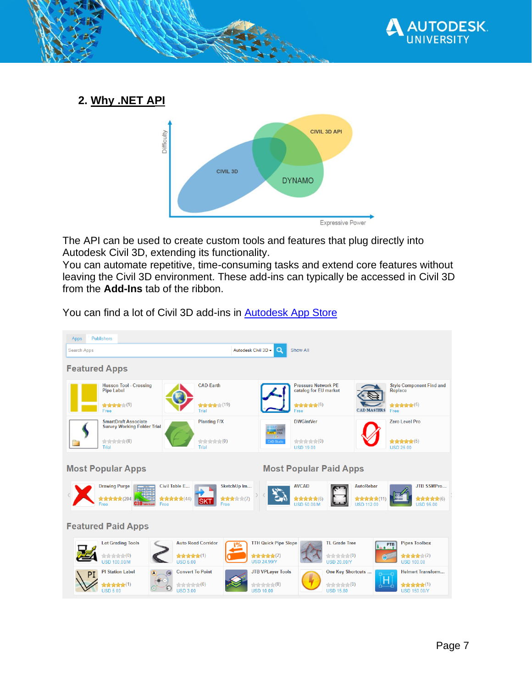

<span id="page-6-0"></span>**2. Why .NET API**



The API can be used to create custom tools and features that plug directly into Autodesk Civil 3D, extending its functionality.

You can automate repetitive, time-consuming tasks and extend core features without leaving the Civil 3D environment. These add-ins can typically be accessed in Civil 3D from the **Add-Ins** tab of the ribbon.



You can find a lot of Civil 3D add-ins in **Autodesk App Store**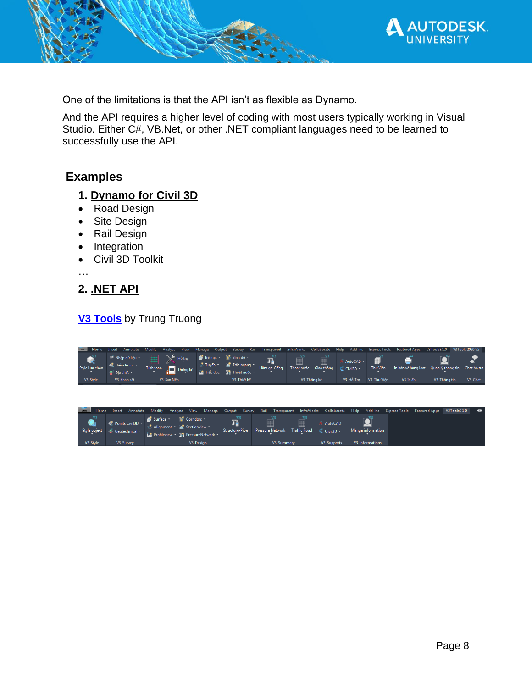

One of the limitations is that the API isn't as flexible as Dynamo.

And the API requires a higher level of coding with most users typically working in Visual Studio. Either C#, VB.Net, or other .NET compliant languages need to be learned to successfully use the API.

### <span id="page-7-0"></span>**Examples**

#### <span id="page-7-1"></span>**1. Dynamo for Civil 3D**

- Road Design
- Site Design
- Rail Design
- Integration
- Civil 3D Toolkit

…

#### <span id="page-7-2"></span>**2. .NET API**

#### **[V3 Tools](http://v3tools.com.vn/)** by Trung Truong

| <b>C3D</b>              | Annotate<br>Insert                                                                    | View<br>Modify<br>Analyze                                                                             | Manage<br>Output<br>Survey                                                                        | Rail<br>Transparent          | InfraWorks               | Help<br>Collaborate      | Add-ins                  | <b>Express Tools</b> | <b>Featured Apps</b>  | V3ToolsE 1.0                        | <b>V3Tools 2020 V5</b> |
|-------------------------|---------------------------------------------------------------------------------------|-------------------------------------------------------------------------------------------------------|---------------------------------------------------------------------------------------------------|------------------------------|--------------------------|--------------------------|--------------------------|----------------------|-----------------------|-------------------------------------|------------------------|
| Style Lựa chọn          | <sup>-¥</sup> Nhập dữ liệu -<br><b>O</b> Diem Point<br>$\blacksquare$ Địa chất $\tau$ | Hỗ trợ<br>Tính toán<br>Thống kê                                                                       | in Bình đồ ≁<br>Bề mặt +<br>Trắc ngang<br>$\frac{1}{100}$ Tuyến $\tau$<br>Trắc dọc * Thoát nước * | T,<br>Hầm ga-Cống            | 龠<br>Thoát nước          | 噩<br>Giao thông          | AutoCAD +<br>C Civil3D - | Thư Viên             | - In bản vẽ hàng loạt | Quản lý thông tin                   | Chat hỗ trơ            |
| V3-Style                | V3-Khảo sát                                                                           | V3-San Nên                                                                                            | V3-Thiết kế                                                                                       |                              | V3-Thống kê              |                          | V3-Hỗ Trơ                | V3-Thư Viên          | V3-In an              | V3-Thông tin                        | V3-Chat                |
| Home<br>C <sub>3D</sub> | Insert<br>Annotate                                                                    | Modify<br><b>View</b><br>Analyze                                                                      | Manage<br>Output<br>Survey                                                                        | Rail<br>Transparent          | InfraWorks               | Collaborate              | Help                     | Add-ins              | <b>Express Tools</b>  | V3ToolsE1.0<br><b>Featured Apps</b> | $\bullet$              |
| Style object            | <b>Communishers</b> Points Civil3D +<br>$\blacksquare$ Geotechnical $\blacksquare$    | <b>No</b> Corridors -<br>Surface *<br>Alignment Table Sectionview<br>Profileview T. PressureNetwork - | П.<br><b>Structure-Pipe</b>                                                                       | ■<br><b>Pressure Network</b> | 丽<br><b>Traffic Road</b> | AutoCAD -<br>C Civil3D - |                          | Mange information    |                       |                                     |                        |